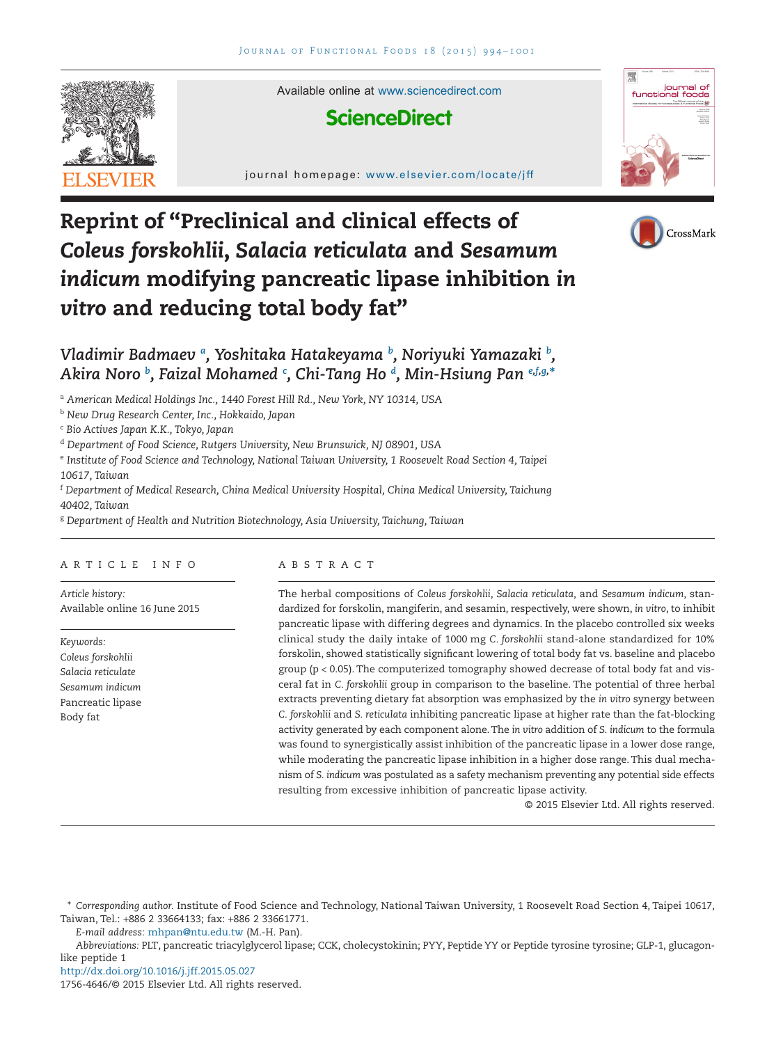

Available online at [www.sciencedirect.com](http://www.sciencedirect.com/science/journal/17564646)

# **ScienceDirect**

journal homepage: www.elsevier.com/locate/jff







# *Vladimir Badmaev [a](#page-0-0) , Yoshitaka Hatakeyama [b](#page-0-1) , Noriyuki Yamazaki [b](#page-0-1) , Akira Noro [b](#page-0-1) , Faizal Mohamed [c](#page-0-2) , Chi-Tang Ho [d](#page-0-3) , Min-Hsiung Pan [e](#page-0-4)[,f](#page-0-5)[,g,](#page-0-6) [\\*](#page-0-7)*

<span id="page-0-0"></span><sup>a</sup> *American Medical Holdings Inc., 1440 Forest Hill Rd., New York, NY 10314, USA*

<span id="page-0-1"></span><sup>b</sup> *New Drug Research Center, Inc., Hokkaido, Japan*

<span id="page-0-2"></span><sup>c</sup> *Bio Actives Japan K.K., Tokyo, Japan*

<span id="page-0-3"></span><sup>d</sup> *Department of Food Science, Rutgers University, New Brunswick, NJ 08901, USA*

<span id="page-0-4"></span><sup>e</sup> *Institute of Food Science and Technology, National Taiwan University, 1 Roosevelt Road Section 4, Taipei 10617, Taiwan*

<span id="page-0-5"></span><sup>f</sup> *Department of Medical Research, China Medical University Hospital, China Medical University, Taichung 40402, Taiwan*

<span id="page-0-6"></span><sup>g</sup> *Department of Health and Nutrition Biotechnology, Asia University, Taichung, Taiwan*

# ARTICLE INFO

*Article history:* Available online 16 June 2015

*Keywords: Coleus forskohlii Salacia reticulate Sesamum indicum* Pancreatic lipase Body fat

# ABSTRACT

The herbal compositions of *Coleus forskohlii*, *Salacia reticulata*, and *Sesamum indicum*, standardized for forskolin, mangiferin, and sesamin, respectively, were shown, *in vitro*, to inhibit pancreatic lipase with differing degrees and dynamics. In the placebo controlled six weeks clinical study the daily intake of 1000 mg *C. forskohlii* stand-alone standardized for 10% forskolin, showed statistically significant lowering of total body fat vs. baseline and placebo group ( $p < 0.05$ ). The computerized tomography showed decrease of total body fat and visceral fat in *C. forskohlii* group in comparison to the baseline. The potential of three herbal extracts preventing dietary fat absorption was emphasized by the *in vitro* synergy between *C. forskohlii* and *S. reticulata* inhibiting pancreatic lipase at higher rate than the fat-blocking activity generated by each component alone. The *in vitro* addition of *S. indicum* to the formula was found to synergistically assist inhibition of the pancreatic lipase in a lower dose range, while moderating the pancreatic lipase inhibition in a higher dose range. This dual mechanism of *S. indicum* was postulated as a safety mechanism preventing any potential side effects resulting from excessive inhibition of pancreatic lipase activity.

© 2015 Elsevier Ltd. All rights reserved.

*E-mail address:* [mhpan@ntu.edu.tw](mailto:mhpan@ntu.edu.tw) (M.-H. Pan).

*Abbreviations:* PLT, pancreatic triacylglycerol lipase; CCK, cholecystokinin; PYY, Peptide YY or Peptide tyrosine tyrosine; GLP-1, glucagonlike peptide 1

http://dx.doi.org/10.1016/j.jff.2015.05.027

1756-4646/© 2015 Elsevier Ltd. All rights reserved.

<span id="page-0-7"></span><sup>\*</sup> *Corresponding author.* Institute of Food Science and Technology, National Taiwan University, 1 Roosevelt Road Section 4, Taipei 10617, Taiwan, Tel.: +886 2 33664133; fax: +886 2 33661771.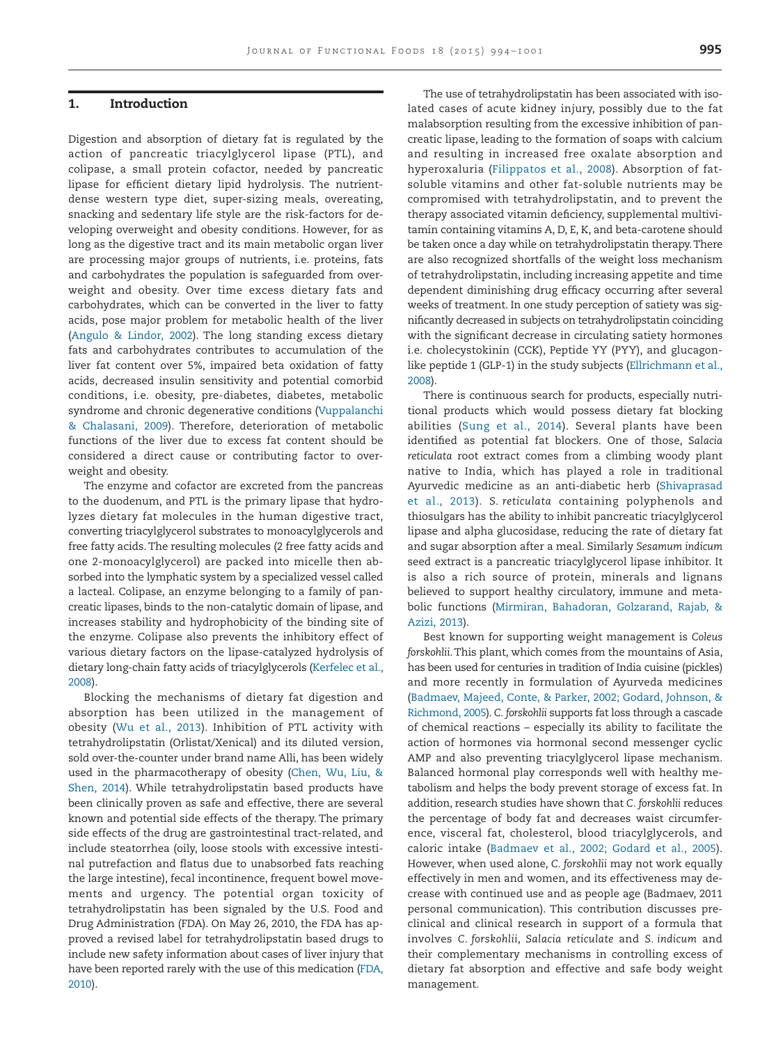#### **1. Introduction**

Digestion and absorption of dietary fat is regulated by the action of pancreatic triacylglycerol lipase (PTL), and colipase, a small protein cofactor, needed by pancreatic lipase for efficient dietary lipid hydrolysis. The nutrientdense western type diet, super-sizing meals, overeating, snacking and sedentary life style are the risk-factors for developing overweight and obesity conditions. However, for as long as the digestive tract and its main metabolic organ liver are processing major groups of nutrients, i.e. proteins, fats and carbohydrates the population is safeguarded from overweight and obesity. Over time excess dietary fats and carbohydrates, which can be converted in the liver to fatty acids, pose major problem for metabolic health of the liver [\(Angulo & Lindor, 2002\)](#page-6-0). The long standing excess dietary fats and carbohydrates contributes to accumulation of the liver fat content over 5%, impaired beta oxidation of fatty acids, decreased insulin sensitivity and potential comorbid conditions, i.e. obesity, pre-diabetes, diabetes, metabolic syndrome and chronic degenerative conditions [\(Vuppalanchi](#page-7-0) [& Chalasani, 2009\)](#page-7-0). Therefore, deterioration of metabolic functions of the liver due to excess fat content should be considered a direct cause or contributing factor to overweight and obesity.

The enzyme and cofactor are excreted from the pancreas to the duodenum, and PTL is the primary lipase that hydrolyzes dietary fat molecules in the human digestive tract, converting triacylglycerol substrates to monoacylglycerols and free fatty acids. The resulting molecules (2 free fatty acids and one 2-monoacylglycerol) are packed into micelle then absorbed into the lymphatic system by a specialized vessel called a lacteal. Colipase, an enzyme belonging to a family of pancreatic lipases, binds to the non-catalytic domain of lipase, and increases stability and hydrophobicity of the binding site of the enzyme. Colipase also prevents the inhibitory effect of various dietary factors on the lipase-catalyzed hydrolysis of dietary long-chain fatty acids of triacylglycerols [\(Kerfelec et al.,](#page-7-1) [2008\)](#page-7-1).

Blocking the mechanisms of dietary fat digestion and absorption has been utilized in the management of obesity [\(Wu et al., 2013\)](#page-7-2). Inhibition of PTL activity with tetrahydrolipstatin (Orlistat/Xenical) and its diluted version, sold over-the-counter under brand name Alli, has been widely used in the pharmacotherapy of obesity [\(Chen, Wu, Liu, &](#page-6-1) [Shen, 2014\)](#page-6-1). While tetrahydrolipstatin based products have been clinically proven as safe and effective, there are several known and potential side effects of the therapy. The primary side effects of the drug are gastrointestinal tract-related, and include steatorrhea (oily, loose stools with excessive intestinal putrefaction and flatus due to unabsorbed fats reaching the large intestine), fecal incontinence, frequent bowel movements and urgency. The potential organ toxicity of tetrahydrolipstatin has been signaled by the U.S. Food and Drug Administration (FDA). On May 26, 2010, the FDA has approved a revised label for tetrahydrolipstatin based drugs to include new safety information about cases of liver injury that have been reported rarely with the use of this medication [\(FDA,](#page-6-2) [2010\)](#page-6-2).

The use of tetrahydrolipstatin has been associated with isolated cases of acute kidney injury, possibly due to the fat malabsorption resulting from the excessive inhibition of pancreatic lipase, leading to the formation of soaps with calcium and resulting in increased free oxalate absorption and hyperoxaluria [\(Filippatos et al., 2008\)](#page-6-3). Absorption of fatsoluble vitamins and other fat-soluble nutrients may be compromised with tetrahydrolipstatin, and to prevent the therapy associated vitamin deficiency, supplemental multivitamin containing vitamins A, D, E, K, and beta-carotene should be taken once a day while on tetrahydrolipstatin therapy.There are also recognized shortfalls of the weight loss mechanism of tetrahydrolipstatin, including increasing appetite and time dependent diminishing drug efficacy occurring after several weeks of treatment. In one study perception of satiety was significantly decreased in subjects on tetrahydrolipstatin coinciding with the significant decrease in circulating satiety hormones i.e. cholecystokinin (CCK), Peptide YY (PYY), and glucagonlike peptide 1 (GLP-1) in the study subjects [\(Ellrichmann et al.,](#page-6-4) [2008\)](#page-6-4).

There is continuous search for products, especially nutritional products which would possess dietary fat blocking abilities [\(Sung et al., 2014\)](#page-7-3). Several plants have been identified as potential fat blockers. One of those, *Salacia reticulata* root extract comes from a climbing woody plant native to India, which has played a role in traditional Ayurvedic medicine as an anti-diabetic herb [\(Shivaprasad](#page-7-4) [et al., 2013\)](#page-7-4). *S. reticulata* containing polyphenols and thiosulgars has the ability to inhibit pancreatic triacylglycerol lipase and alpha glucosidase, reducing the rate of dietary fat and sugar absorption after a meal. Similarly *Sesamum indicum* seed extract is a pancreatic triacylglycerol lipase inhibitor. It is also a rich source of protein, minerals and lignans believed to support healthy circulatory, immune and metabolic functions [\(Mirmiran, Bahadoran, Golzarand, Rajab, &](#page-7-5) [Azizi, 2013\)](#page-7-5).

Best known for supporting weight management is *Coleus forskohlii*. This plant, which comes from the mountains of Asia, has been used for centuries in tradition of India cuisine (pickles) and more recently in formulation of Ayurveda medicines [\(Badmaev, Majeed, Conte, & Parker, 2002; Godard, Johnson, &](#page-6-5) [Richmond, 2005\)](#page-6-5). *C. forskohlii* supports fat loss through a cascade of chemical reactions – especially its ability to facilitate the action of hormones via hormonal second messenger cyclic AMP and also preventing triacylglycerol lipase mechanism. Balanced hormonal play corresponds well with healthy metabolism and helps the body prevent storage of excess fat. In addition, research studies have shown that *C. forskohlii* reduces the percentage of body fat and decreases waist circumference, visceral fat, cholesterol, blood triacylglycerols, and caloric intake [\(Badmaev et al., 2002; Godard et al., 2005\)](#page-6-5). However, when used alone, *C. forskohlii* may not work equally effectively in men and women, and its effectiveness may decrease with continued use and as people age (Badmaev, 2011 personal communication). This contribution discusses preclinical and clinical research in support of a formula that involves *C. forskohlii*, *Salacia reticulate* and *S. indicum* and their complementary mechanisms in controlling excess of dietary fat absorption and effective and safe body weight management.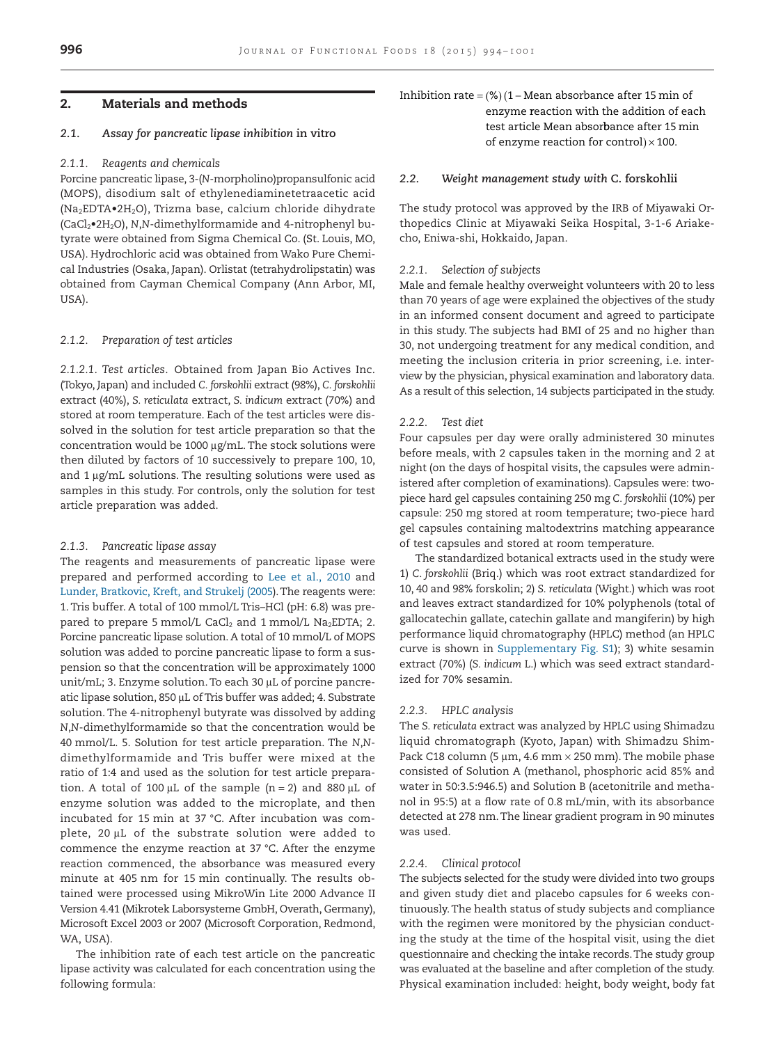# **2. Materials and methods**

# *2.1. Assay for pancreatic lipase inhibition* **in vitro**

# *2.1.1. Reagents and chemicals*

Porcine pancreatic lipase, 3-(*N*-morpholino)propansulfonic acid (MOPS), disodium salt of ethylenediaminetetraacetic acid (Na2EDTA•2H2O), Trizma base, calcium chloride dihydrate (CaCl2•2H2O), *N*,*N*-dimethylformamide and 4-nitrophenyl butyrate were obtained from Sigma Chemical Co. (St. Louis, MO, USA). Hydrochloric acid was obtained from Wako Pure Chemical Industries (Osaka, Japan). Orlistat (tetrahydrolipstatin) was obtained from Cayman Chemical Company (Ann Arbor, MI, USA).

#### *2.1.2. Preparation of test articles*

*2.1.2.1. Test articles.* Obtained from Japan Bio Actives Inc. (Tokyo, Japan) and included *C. forskohlii* extract (98%), *C. forskohlii* extract (40%), *S. reticulata* extract, *S. indicum* extract (70%) and stored at room temperature. Each of the test articles were dissolved in the solution for test article preparation so that the concentration would be 1000 µg/mL. The stock solutions were then diluted by factors of 10 successively to prepare 100, 10, and 1  $\mu$ g/mL solutions. The resulting solutions were used as samples in this study. For controls, only the solution for test article preparation was added.

# *2.1.3. Pancreatic lipase assay*

The reagents and measurements of pancreatic lipase were prepared and performed according to [Lee et al., 2010](#page-7-6) and [Lunder, Bratkovic, Kreft, and Strukelj \(2005\)](#page-7-7).The reagents were: 1. Tris buffer. A total of 100 mmol/L Tris–HCl (pH: 6.8) was prepared to prepare 5 mmol/L CaCl<sub>2</sub> and 1 mmol/L Na<sub>2</sub>EDTA; 2. Porcine pancreatic lipase solution. A total of 10 mmol/L of MOPS solution was added to porcine pancreatic lipase to form a suspension so that the concentration will be approximately 1000 unit/mL; 3. Enzyme solution. To each 30 µL of porcine pancreatic lipase solution, 850 µL of Tris buffer was added; 4. Substrate solution. The 4-nitrophenyl butyrate was dissolved by adding *N*,*N*-dimethylformamide so that the concentration would be 40 mmol/L. 5. Solution for test article preparation. The *N*,*N*dimethylformamide and Tris buffer were mixed at the ratio of 1:4 and used as the solution for test article preparation. A total of 100 µL of the sample (n = 2) and 880 µL of enzyme solution was added to the microplate, and then incubated for 15 min at 37 °C. After incubation was complete, 20 µL of the substrate solution were added to commence the enzyme reaction at 37 °C. After the enzyme reaction commenced, the absorbance was measured every minute at 405 nm for 15 min continually. The results obtained were processed using MikroWin Lite 2000 Advance II Version 4.41 (Mikrotek Laborsysteme GmbH, Overath, Germany), Microsoft Excel 2003 or 2007 (Microsoft Corporation, Redmond, WA, USA).

The inhibition rate of each test article on the pancreatic lipase activity was calculated for each concentration using the following formula:

Inhibition rate =  $(\%)$  (1 – Mean absorbance after 15 min of enzyme reaction with the addition of each test article Mean absorbance after 15 min of enzyme reaction for control) $\times 100$ .

# *2.2. Weight management study with* **C. forskohlii**

The study protocol was approved by the IRB of Miyawaki Orthopedics Clinic at Miyawaki Seika Hospital, 3-1-6 Ariakecho, Eniwa-shi, Hokkaido, Japan.

#### *2.2.1. Selection of subjects*

Male and female healthy overweight volunteers with 20 to less than 70 years of age were explained the objectives of the study in an informed consent document and agreed to participate in this study. The subjects had BMI of 25 and no higher than 30, not undergoing treatment for any medical condition, and meeting the inclusion criteria in prior screening, i.e. interview by the physician, physical examination and laboratory data. As a result of this selection, 14 subjects participated in the study.

# *2.2.2. Test diet*

Four capsules per day were orally administered 30 minutes before meals, with 2 capsules taken in the morning and 2 at night (on the days of hospital visits, the capsules were administered after completion of examinations). Capsules were: twopiece hard gel capsules containing 250 mg *C. forskohlii* (10%) per capsule: 250 mg stored at room temperature; two-piece hard gel capsules containing maltodextrins matching appearance of test capsules and stored at room temperature.

The standardized botanical extracts used in the study were 1) *C. forskohlii* (Briq.) which was root extract standardized for 10, 40 and 98% forskolin; 2) *S. reticulata* (Wight.) which was root and leaves extract standardized for 10% polyphenols (total of gallocatechin gallate, catechin gallate and mangiferin) by high performance liquid chromatography (HPLC) method (an HPLC curve is shown in Supplementary Fig. S1); 3) white sesamin extract (70%) (*S. indicum* L.) which was seed extract standardized for 70% sesamin.

# *2.2.3. HPLC analysis*

The *S. reticulata* extract was analyzed by HPLC using Shimadzu liquid chromatograph (Kyoto, Japan) with Shimadzu Shim-Pack C18 column (5  $\upmu$ m, 4.6 mm  $\times$  250 mm). The mobile phase consisted of Solution A (methanol, phosphoric acid 85% and water in 50:3.5:946.5) and Solution B (acetonitrile and methanol in 95:5) at a flow rate of 0.8 mL/min, with its absorbance detected at 278 nm. The linear gradient program in 90 minutes was used.

#### *2.2.4. Clinical protocol*

The subjects selected for the study were divided into two groups and given study diet and placebo capsules for 6 weeks continuously. The health status of study subjects and compliance with the regimen were monitored by the physician conducting the study at the time of the hospital visit, using the diet questionnaire and checking the intake records.The study group was evaluated at the baseline and after completion of the study. Physical examination included: height, body weight, body fat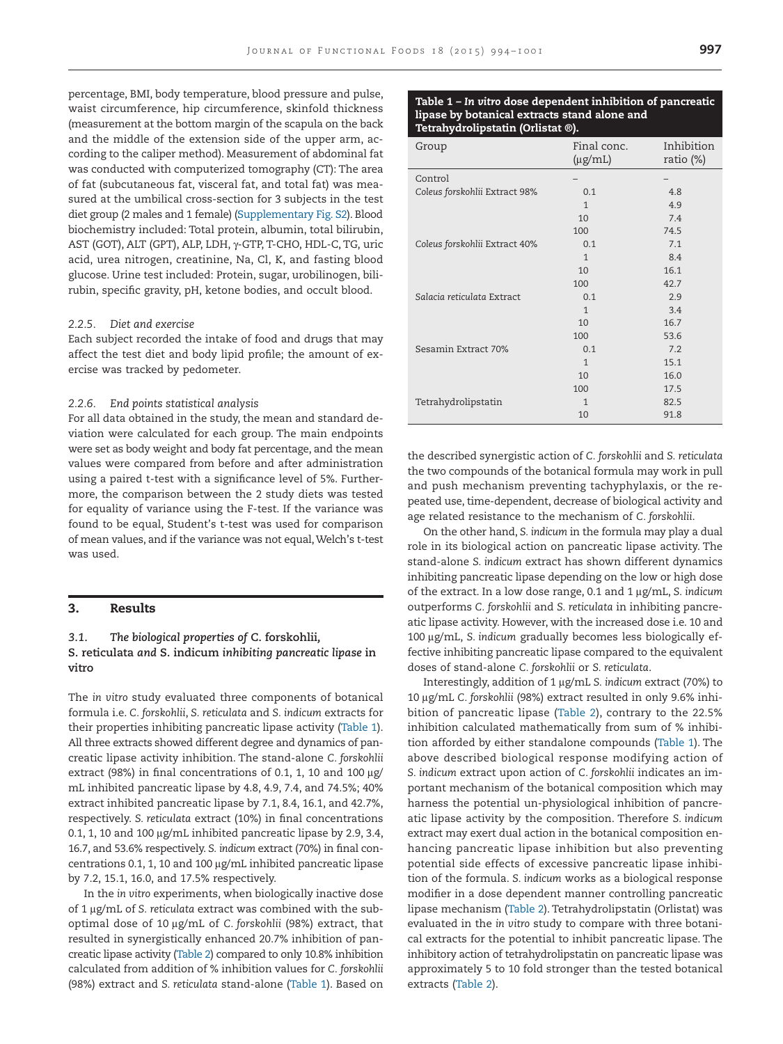percentage, BMI, body temperature, blood pressure and pulse, waist circumference, hip circumference, skinfold thickness (measurement at the bottom margin of the scapula on the back and the middle of the extension side of the upper arm, according to the caliper method). Measurement of abdominal fat was conducted with computerized tomography (CT): The area of fat (subcutaneous fat, visceral fat, and total fat) was measured at the umbilical cross-section for 3 subjects in the test diet group (2 males and 1 female) (Supplementary Fig. S2). Blood biochemistry included: Total protein, albumin, total bilirubin, AST (GOT), ALT (GPT), ALP, LDH, γ-GTP, T-CHO, HDL-C, TG, uric acid, urea nitrogen, creatinine, Na, Cl, K, and fasting blood glucose. Urine test included: Protein, sugar, urobilinogen, bilirubin, specific gravity, pH, ketone bodies, and occult blood.

# *2.2.5. Diet and exercise*

Each subject recorded the intake of food and drugs that may affect the test diet and body lipid profile; the amount of exercise was tracked by pedometer.

#### *2.2.6. End points statistical analysis*

For all data obtained in the study, the mean and standard deviation were calculated for each group. The main endpoints were set as body weight and body fat percentage, and the mean values were compared from before and after administration using a paired t-test with a significance level of 5%. Furthermore, the comparison between the 2 study diets was tested for equality of variance using the F-test. If the variance was found to be equal, Student's t-test was used for comparison of mean values, and if the variance was not equal, Welch's t-test was used.

# **3. Results**

# *3.1. The biological properties of* **C. forskohlii***,* **S. reticulata** *and* **S. indicum** *inhibiting pancreatic lipase* **in vitro**

The *in vitro* study evaluated three components of botanical formula i.e. *C. forskohlii*, *S. reticulata* and *S. indicum* extracts for their properties inhibiting pancreatic lipase activity (Table 1). All three extracts showed different degree and dynamics of pancreatic lipase activity inhibition. The stand-alone *C. forskohlii* extract (98%) in final concentrations of 0.1, 1, 10 and 100  $\mu$ g/ mL inhibited pancreatic lipase by 4.8, 4.9, 7.4, and 74.5%; 40% extract inhibited pancreatic lipase by 7.1, 8.4, 16.1, and 42.7%, respectively. *S. reticulata* extract (10%) in final concentrations 0.1, 1, 10 and 100 µg/mL inhibited pancreatic lipase by 2.9, 3.4, 16.7, and 53.6% respectively. *S. indicum* extract (70%) in final concentrations 0.1, 1, 10 and 100 µg/mL inhibited pancreatic lipase by 7.2, 15.1, 16.0, and 17.5% respectively.

In the *in vitro* experiments, when biologically inactive dose of 1 µg/mL of S. reticulata extract was combined with the suboptimal dose of 10 µg/mL of C. forskohlii (98%) extract, that resulted in synergistically enhanced 20.7% inhibition of pancreatic lipase activity [\(Table 2\)](#page-4-0) compared to only 10.8% inhibition calculated from addition of % inhibition values for *C. forskohlii* (98%) extract and *S. reticulata* stand-alone (Table 1). Based on

# **Table 1 –** *In vitro* **dose dependent inhibition of pancreatic lipase by botanical extracts stand alone and Tetrahydrolipstatin (Orlistat ®).**

| Group                         | Final conc.<br>$(\mu g/mL)$ | Inhibition<br>ratio $(\%)$ |
|-------------------------------|-----------------------------|----------------------------|
| Control                       |                             |                            |
| Coleus forskohlii Extract 98% | 0.1                         | 4.8                        |
|                               | $\mathbf{1}$                | 4.9                        |
|                               | 10                          | 7.4                        |
|                               | 100                         | 74.5                       |
| Coleus forskohlii Extract 40% | 0.1                         | 7.1                        |
|                               | $\mathbf{1}$                | 8.4                        |
|                               | 10                          | 16.1                       |
|                               | 100                         | 42.7                       |
| Salacia reticulata Extract    | 0.1                         | 2.9                        |
|                               | 1                           | 3.4                        |
|                               | 10                          | 16.7                       |
|                               | 100                         | 53.6                       |
| Sesamin Extract 70%           | 0.1                         | 7.2                        |
|                               | $\mathbf{1}$                | 15.1                       |
|                               | 10                          | 16.0                       |
|                               | 100                         | 17.5                       |
| Tetrahydrolipstatin           | 1                           | 82.5                       |
|                               | 10                          | 91.8                       |

the described synergistic action of *C. forskohlii* and *S. reticulata* the two compounds of the botanical formula may work in pull and push mechanism preventing tachyphylaxis, or the repeated use, time-dependent, decrease of biological activity and age related resistance to the mechanism of *C. forskohlii*.

On the other hand, *S. indicum* in the formula may play a dual role in its biological action on pancreatic lipase activity. The stand-alone *S. indicum* extract has shown different dynamics inhibiting pancreatic lipase depending on the low or high dose of the extract. In a low dose range, 0.1 and 1  $\mu$ g/mL, S. indicum outperforms *C. forskohlii* and *S. reticulata* in inhibiting pancreatic lipase activity. However, with the increased dose i.e. 10 and 100 μg/mL, S. indicum gradually becomes less biologically effective inhibiting pancreatic lipase compared to the equivalent doses of stand-alone *C. forskohlii* or *S. reticulata*.

Interestingly, addition of 1 µg/mL S. indicum extract (70%) to 10 μg/mL C. forskohlii (98%) extract resulted in only 9.6% inhibition of pancreatic lipase [\(Table 2\)](#page-4-0), contrary to the 22.5% inhibition calculated mathematically from sum of % inhibition afforded by either standalone compounds (Table 1). The above described biological response modifying action of *S. indicum* extract upon action of *C. forskohlii* indicates an important mechanism of the botanical composition which may harness the potential un-physiological inhibition of pancreatic lipase activity by the composition. Therefore *S. indicum* extract may exert dual action in the botanical composition enhancing pancreatic lipase inhibition but also preventing potential side effects of excessive pancreatic lipase inhibition of the formula. *S. indicum* works as a biological response modifier in a dose dependent manner controlling pancreatic lipase mechanism [\(Table 2\)](#page-4-0). Tetrahydrolipstatin (Orlistat) was evaluated in the *in vitro* study to compare with three botanical extracts for the potential to inhibit pancreatic lipase. The inhibitory action of tetrahydrolipstatin on pancreatic lipase was approximately 5 to 10 fold stronger than the tested botanical extracts [\(Table 2\)](#page-4-0).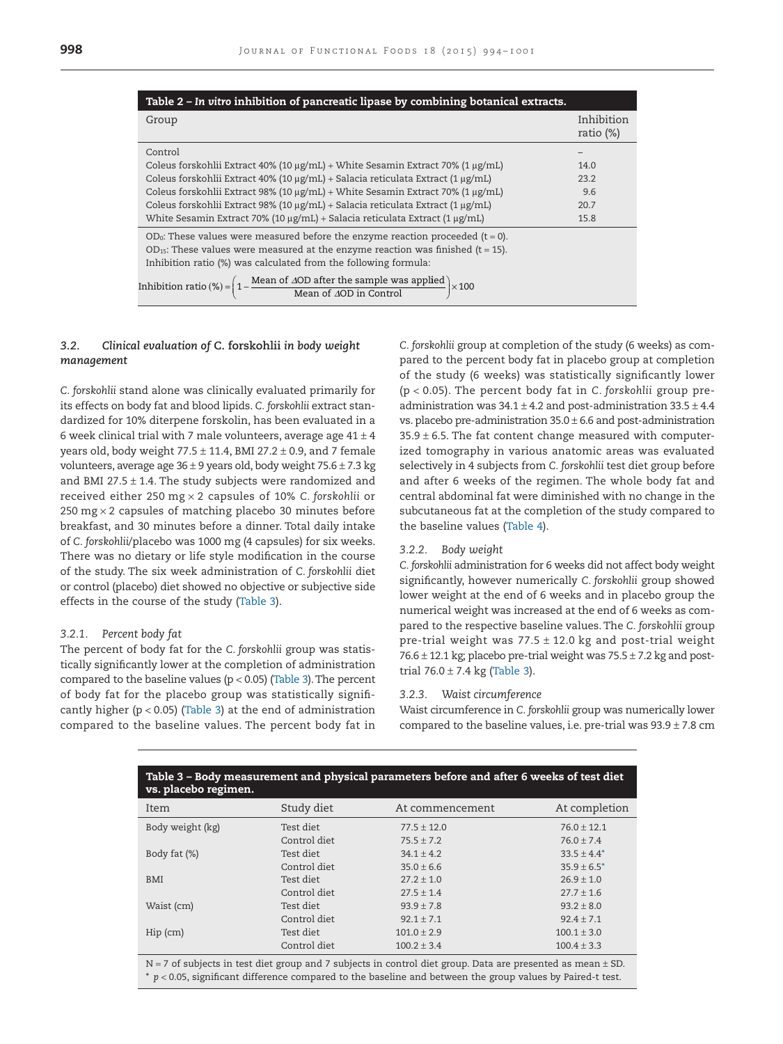<span id="page-4-0"></span>

| Table 2 – In vitro inhibition of pancreatic lipase by combining botanical extracts.                                                                                                 |                            |  |
|-------------------------------------------------------------------------------------------------------------------------------------------------------------------------------------|----------------------------|--|
| Group                                                                                                                                                                               | Inhibition<br>ratio $(\%)$ |  |
| Control<br>Coleus forskohlii Extract 40% (10 μg/mL) + White Sesamin Extract 70% (1 μg/mL)                                                                                           | 14.0                       |  |
| Coleus forskohlii Extract 40% (10 µg/mL) + Salacia reticulata Extract (1 µg/mL)<br>Coleus forskohlii Extract 98% (10 µg/mL) + White Sesamin Extract 70% (1 µg/mL)                   | 23.2<br>9.6                |  |
| Coleus forskohlii Extract 98% (10 µg/mL) + Salacia reticulata Extract (1 µg/mL)                                                                                                     | 20.7                       |  |
| White Sesamin Extract 70% (10 $\mu$ g/mL) + Salacia reticulata Extract (1 $\mu$ g/mL)<br>OD <sub>0</sub> : These values were measured before the enzyme reaction proceeded (t = 0). | 15.8                       |  |
| $OD_{15}$ : These values were measured at the enzyme reaction was finished (t = 15).<br>Inhibition ratio (%) was calculated from the following formula:                             |                            |  |
| Inhibition ratio (%) = $\left(1 - \frac{\text{Mean of } \Delta \text{OD after the sample was applied}}{\text{Mean of } \Delta \text{OD in Control}}\right) \times 100$              |                            |  |

# *3.2. Clinical evaluation of* **C. forskohlii** *in body weight management*

*C. forskohlii* stand alone was clinically evaluated primarily for its effects on body fat and blood lipids. *C. forskohlii* extract standardized for 10% diterpene forskolin, has been evaluated in a 6 week clinical trial with 7 male volunteers, average age  $41 \pm 4$ years old, body weight  $77.5 \pm 11.4$ , BMI 27.2  $\pm$  0.9, and 7 female volunteers, average age  $36 \pm 9$  years old, body weight  $75.6 \pm 7.3$  kg and BMI 27.5  $\pm$  1.4. The study subjects were randomized and received either 250 mg × 2 capsules of 10% *C. forskohlii* or 250 mg  $\times$  2 capsules of matching placebo 30 minutes before breakfast, and 30 minutes before a dinner. Total daily intake of *C. forskohlii*/placebo was 1000 mg (4 capsules) for six weeks. There was no dietary or life style modification in the course of the study. The six week administration of *C. forskohlii* diet or control (placebo) diet showed no objective or subjective side effects in the course of the study (Table 3).

#### *3.2.1. Percent body fat*

The percent of body fat for the *C. forskohlii* group was statistically significantly lower at the completion of administration compared to the baseline values ( $p < 0.05$ ) (Table 3). The percent of body fat for the placebo group was statistically significantly higher ( $p < 0.05$ ) (Table 3) at the end of administration compared to the baseline values. The percent body fat in

*C. forskohlii* group at completion of the study (6 weeks) as compared to the percent body fat in placebo group at completion of the study (6 weeks) was statistically significantly lower (p < 0.05). The percent body fat in *C. forskohlii* group preadministration was  $34.1 \pm 4.2$  and post-administration  $33.5 \pm 4.4$ vs. placebo pre-administration  $35.0 \pm 6.6$  and post-administration  $35.9 \pm 6.5$ . The fat content change measured with computerized tomography in various anatomic areas was evaluated selectively in 4 subjects from *C. forskohlii* test diet group before and after 6 weeks of the regimen. The whole body fat and central abdominal fat were diminished with no change in the subcutaneous fat at the completion of the study compared to the baseline values [\(Table 4\)](#page-5-0).

#### *3.2.2. Body weight*

*C. forskohlii* administration for 6 weeks did not affect body weight significantly, however numerically *C. forskohlii* group showed lower weight at the end of 6 weeks and in placebo group the numerical weight was increased at the end of 6 weeks as compared to the respective baseline values. The *C. forskohlii* group pre-trial weight was  $77.5 \pm 12.0$  kg and post-trial weight  $76.6 \pm 12.1$  kg; placebo pre-trial weight was  $75.5 \pm 7.2$  kg and posttrial  $76.0 \pm 7.4$  kg (Table 3).

#### *3.2.3. Waist circumference*

Waist circumference in *C. forskohlii* group was numerically lower compared to the baseline values, i.e. pre-trial was  $93.9 \pm 7.8$  cm

| Table 3 - Body measurement and physical parameters before and after 6 weeks of test diet<br>vs. placebo regimen. |              |                 |                 |
|------------------------------------------------------------------------------------------------------------------|--------------|-----------------|-----------------|
| Item                                                                                                             | Study diet   | At commencement | At completion   |
| Body weight (kg)                                                                                                 | Test diet    | $77.5 + 12.0$   | $76.0 + 12.1$   |
|                                                                                                                  | Control diet | $75.5 + 7.2$    | $76.0 + 7.4$    |
| Body fat (%)                                                                                                     | Test diet    | $34.1 + 4.2$    | $33.5 + 4.4^*$  |
|                                                                                                                  | Control diet | $35.0 + 6.6$    | $35.9 + 6.5^*$  |
| <b>BMI</b>                                                                                                       | Test diet    | $27.2 + 1.0$    | $26.9 + 1.0$    |
|                                                                                                                  | Control diet | $27.5 + 1.4$    | $27.7 + 1.6$    |
| Waist (cm)                                                                                                       | Test diet    | $93.9 + 7.8$    | $93.2 + 8.0$    |
|                                                                                                                  | Control diet | $92.1 + 7.1$    | $92.4 + 7.1$    |
| $Hip$ (cm)                                                                                                       | Test diet    | $101.0 \pm 2.9$ | $100.1 \pm 3.0$ |
|                                                                                                                  | Control diet | $100.2 \pm 3.4$ | $100.4 \pm 3.3$ |

<span id="page-4-1"></span>N = 7 of subjects in test diet group and 7 subjects in control diet group. Data are presented as mean ± SD. \* *p* < 0.05, significant difference compared to the baseline and between the group values by Paired-t test.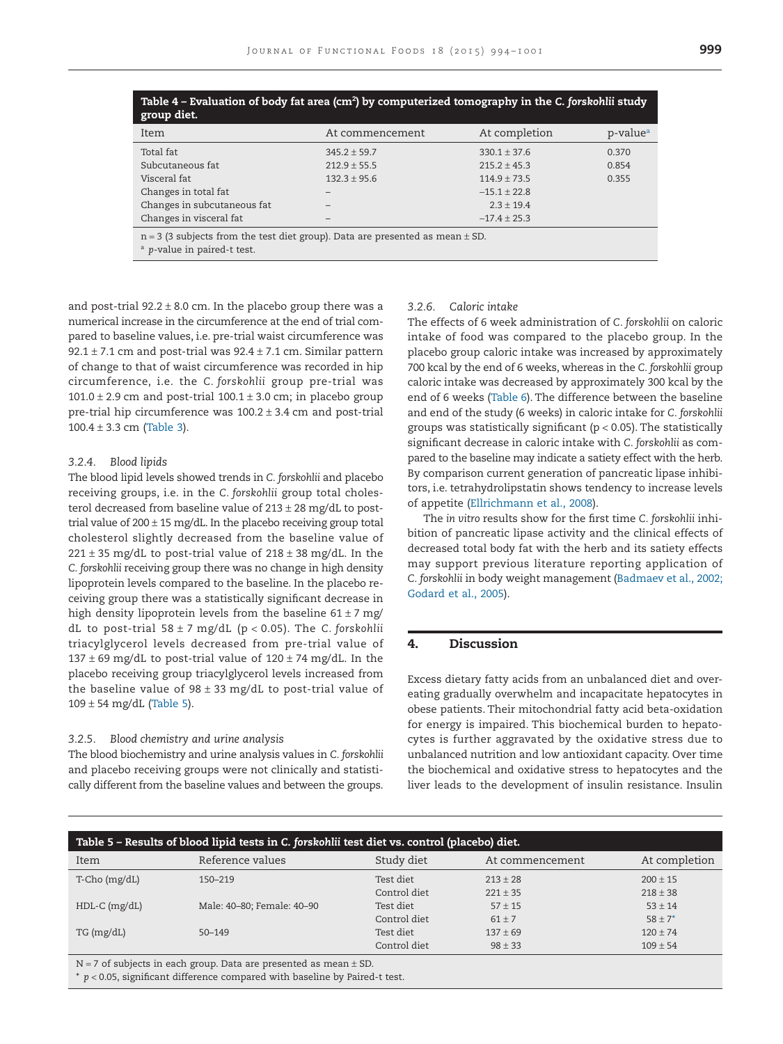<span id="page-5-0"></span>

| Table 4 - Evaluation of body fat area (cm <sup>2</sup> ) by computerized tomography in the C. forskohlii study<br>group diet. |                  |                  |                      |
|-------------------------------------------------------------------------------------------------------------------------------|------------------|------------------|----------------------|
| Item                                                                                                                          | At commencement  | At completion    | p-value <sup>a</sup> |
| Total fat                                                                                                                     | $345.2 + 59.7$   | $330.1 + 37.6$   | 0.370                |
| Subcutaneous fat                                                                                                              | $212.9 \pm 55.5$ | $215.2 + 45.3$   | 0.854                |
| Visceral fat                                                                                                                  | $132.3 \pm 95.6$ | $114.9 + 73.5$   | 0.355                |
| Changes in total fat                                                                                                          |                  | $-15.1 + 22.8$   |                      |
| Changes in subcutaneous fat                                                                                                   |                  | $2.3 + 19.4$     |                      |
| Changes in visceral fat                                                                                                       |                  | $-17.4 \pm 25.3$ |                      |
| $n = 3$ (3 subjects from the test diet group). Data are presented as mean $\pm$ SD.<br><sup>a</sup> p-value in paired-t test. |                  |                  |                      |

<span id="page-5-1"></span>and post-trial  $92.2 \pm 8.0$  cm. In the placebo group there was a numerical increase in the circumference at the end of trial compared to baseline values, i.e. pre-trial waist circumference was 92.1  $\pm$  7.1 cm and post-trial was 92.4  $\pm$  7.1 cm. Similar pattern of change to that of waist circumference was recorded in hip circumference, i.e. the *C. forskohlii* group pre-trial was  $101.0 \pm 2.9$  cm and post-trial  $100.1 \pm 3.0$  cm; in placebo group pre-trial hip circumference was  $100.2 \pm 3.4$  cm and post-trial  $100.4 \pm 3.3$  cm [\(Table 3\)](#page-4-0).

#### *3.2.4. Blood lipids*

The blood lipid levels showed trends in *C. forskohlii* and placebo receiving groups, i.e. in the *C. forskohlii* group total cholesterol decreased from baseline value of  $213 \pm 28$  mg/dL to posttrial value of  $200 \pm 15$  mg/dL. In the placebo receiving group total cholesterol slightly decreased from the baseline value of  $221 \pm 35$  mg/dL to post-trial value of  $218 \pm 38$  mg/dL. In the *C. forskohlii* receiving group there was no change in high density lipoprotein levels compared to the baseline. In the placebo receiving group there was a statistically significant decrease in high density lipoprotein levels from the baseline  $61 \pm 7$  mg/ dL to post-trial 58 ± 7 mg/dL (p < 0.05). The *C. forskohlii* triacylglycerol levels decreased from pre-trial value of 137  $\pm$  69 mg/dL to post-trial value of 120  $\pm$  74 mg/dL. In the placebo receiving group triacylglycerol levels increased from the baseline value of  $98 \pm 33$  mg/dL to post-trial value of  $109 \pm 54$  mg/dL (Table 5).

# *3.2.5. Blood chemistry and urine analysis*

The blood biochemistry and urine analysis values in *C. forskohlii* and placebo receiving groups were not clinically and statistically different from the baseline values and between the groups.

#### *3.2.6. Caloric intake*

The effects of 6 week administration of *C. forskohlii* on caloric intake of food was compared to the placebo group. In the placebo group caloric intake was increased by approximately 700 kcal by the end of 6 weeks, whereas in the *C. forskohlii* group caloric intake was decreased by approximately 300 kcal by the end of 6 weeks [\(Table 6\)](#page-6-6). The difference between the baseline and end of the study (6 weeks) in caloric intake for *C. forskohlii* groups was statistically significant ( $p < 0.05$ ). The statistically significant decrease in caloric intake with *C. forskohlii* as compared to the baseline may indicate a satiety effect with the herb. By comparison current generation of pancreatic lipase inhibitors, i.e. tetrahydrolipstatin shows tendency to increase levels of appetite [\(Ellrichmann et al., 2008\)](#page-6-4).

The *in vitro* results show for the first time *C. forskohlii* inhibition of pancreatic lipase activity and the clinical effects of decreased total body fat with the herb and its satiety effects may support previous literature reporting application of *C. forskohlii* in body weight management [\(Badmaev et al., 2002;](#page-6-5) [Godard et al., 2005\)](#page-6-5).

# **4. Discussion**

Excess dietary fatty acids from an unbalanced diet and overeating gradually overwhelm and incapacitate hepatocytes in obese patients. Their mitochondrial fatty acid beta-oxidation for energy is impaired. This biochemical burden to hepatocytes is further aggravated by the oxidative stress due to unbalanced nutrition and low antioxidant capacity. Over time the biochemical and oxidative stress to hepatocytes and the liver leads to the development of insulin resistance. Insulin

| Table 5 – Results of blood lipid tests in C. forskohlii test diet vs. control (placebo) diet.                                                                                                                                                                                                                                                                                                                                |                            |              |                 |               |
|------------------------------------------------------------------------------------------------------------------------------------------------------------------------------------------------------------------------------------------------------------------------------------------------------------------------------------------------------------------------------------------------------------------------------|----------------------------|--------------|-----------------|---------------|
| Item                                                                                                                                                                                                                                                                                                                                                                                                                         | Reference values           | Study diet   | At commencement | At completion |
| T-Cho (mg/dL)                                                                                                                                                                                                                                                                                                                                                                                                                | 150-219                    | Test diet    | $213 + 28$      | $200 \pm 15$  |
|                                                                                                                                                                                                                                                                                                                                                                                                                              |                            | Control diet | $221 \pm 35$    | $218 \pm 38$  |
| $HDL-C$ (mg/dL)                                                                                                                                                                                                                                                                                                                                                                                                              | Male: 40-80; Female: 40-90 | Test diet    | $57 + 15$       | $53 \pm 14$   |
|                                                                                                                                                                                                                                                                                                                                                                                                                              |                            | Control diet | $61 \pm 7$      | $58 \pm 7^*$  |
| TG (mg/dL)                                                                                                                                                                                                                                                                                                                                                                                                                   | $50 - 149$                 | Test diet    | $137 + 69$      | $120 \pm 74$  |
|                                                                                                                                                                                                                                                                                                                                                                                                                              |                            | Control diet | $98 \pm 33$     | $109 \pm 54$  |
| $\mathbf{v} = \mathbf{r} + \mathbf{v} + \mathbf{v} + \mathbf{v} + \mathbf{v} + \mathbf{v} + \mathbf{v} + \mathbf{v} + \mathbf{v} + \mathbf{v} + \mathbf{v} + \mathbf{v} + \mathbf{v} + \mathbf{v} + \mathbf{v} + \mathbf{v} + \mathbf{v} + \mathbf{v} + \mathbf{v} + \mathbf{v} + \mathbf{v} + \mathbf{v} + \mathbf{v} + \mathbf{v} + \mathbf{v} + \mathbf{v} + \mathbf{v} + \mathbf{v} + \mathbf{v} + \mathbf{v} + \mathbf$ |                            |              |                 |               |

<span id="page-5-2"></span> $N = 7$  of subjects in each group. Data are presented as mean  $\pm$  SD.

\* *p* < 0.05, significant difference compared with baseline by Paired-t test.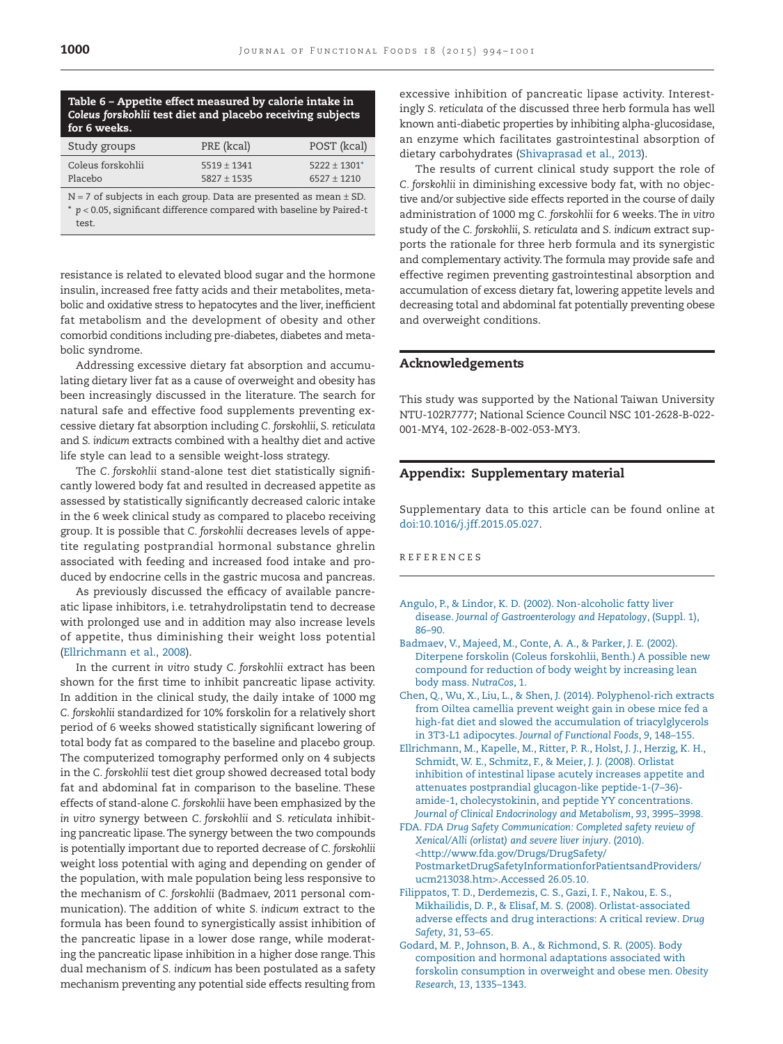# <span id="page-6-6"></span>**Table 6 – Appetite effect measured by calorie intake in** *Coleus forskohlii* **test diet and placebo receiving subjects for 6 weeks.**

| Study groups      | PRE (kcal)    | POST (kcal)    |
|-------------------|---------------|----------------|
| Coleus forskohlii | $5519 + 1341$ | $5222 + 1301*$ |
| Placebo           | $5827 + 1535$ | $6527 + 1210$  |
|                   |               |                |

<span id="page-6-7"></span> $N = 7$  of subjects in each group. Data are presented as mean  $\pm$  SD. \* *p* < 0.05, significant difference compared with baseline by Paired-t test.

resistance is related to elevated blood sugar and the hormone insulin, increased free fatty acids and their metabolites, metabolic and oxidative stress to hepatocytes and the liver, inefficient fat metabolism and the development of obesity and other comorbid conditions including pre-diabetes, diabetes and metabolic syndrome.

Addressing excessive dietary fat absorption and accumulating dietary liver fat as a cause of overweight and obesity has been increasingly discussed in the literature. The search for natural safe and effective food supplements preventing excessive dietary fat absorption including *C. forskohlii*, *S. reticulata* and *S. indicum* extracts combined with a healthy diet and active life style can lead to a sensible weight-loss strategy.

The *C. forskohlii* stand-alone test diet statistically significantly lowered body fat and resulted in decreased appetite as assessed by statistically significantly decreased caloric intake in the 6 week clinical study as compared to placebo receiving group. It is possible that *C. forskohlii* decreases levels of appetite regulating postprandial hormonal substance ghrelin associated with feeding and increased food intake and produced by endocrine cells in the gastric mucosa and pancreas.

As previously discussed the efficacy of available pancreatic lipase inhibitors, i.e. tetrahydrolipstatin tend to decrease with prolonged use and in addition may also increase levels of appetite, thus diminishing their weight loss potential [\(Ellrichmann et al., 2008\)](#page-6-4).

In the current *in vitro* study *C. forskohlii* extract has been shown for the first time to inhibit pancreatic lipase activity. In addition in the clinical study, the daily intake of 1000 mg *C. forskohlii* standardized for 10% forskolin for a relatively short period of 6 weeks showed statistically significant lowering of total body fat as compared to the baseline and placebo group. The computerized tomography performed only on 4 subjects in the *C. forskohlii* test diet group showed decreased total body fat and abdominal fat in comparison to the baseline. These effects of stand-alone *C. forskohlii* have been emphasized by the *in vitro* synergy between *C. forskohlii* and *S. reticulata* inhibiting pancreatic lipase.The synergy between the two compounds is potentially important due to reported decrease of *C. forskohlii* weight loss potential with aging and depending on gender of the population, with male population being less responsive to the mechanism of *C. forskohlii* (Badmaev, 2011 personal communication). The addition of white *S. indicum* extract to the formula has been found to synergistically assist inhibition of the pancreatic lipase in a lower dose range, while moderating the pancreatic lipase inhibition in a higher dose range. This dual mechanism of *S. indicum* has been postulated as a safety mechanism preventing any potential side effects resulting from

excessive inhibition of pancreatic lipase activity. Interestingly *S. reticulata* of the discussed three herb formula has well known anti-diabetic properties by inhibiting alpha-glucosidase, an enzyme which facilitates gastrointestinal absorption of dietary carbohydrates [\(Shivaprasad et al., 2013\)](#page-7-4).

The results of current clinical study support the role of *C. forskohlii* in diminishing excessive body fat, with no objective and/or subjective side effects reported in the course of daily administration of 1000 mg *C. forskohlii* for 6 weeks. The *in vitro* study of the *C. forskohlii*, *S. reticulata* and *S. indicum* extract supports the rationale for three herb formula and its synergistic and complementary activity.The formula may provide safe and effective regimen preventing gastrointestinal absorption and accumulation of excess dietary fat, lowering appetite levels and decreasing total and abdominal fat potentially preventing obese and overweight conditions.

# **Acknowledgements**

This study was supported by the National Taiwan University NTU-102R7777; National Science Council NSC 101-2628-B-022- 001-MY4, 102-2628-B-002-053-MY3.

# **Appendix: Supplementary material**

Supplementary data to this article can be found online at [doi:10.1016/j.jff.2015.05.027.](http://dx.doi.org/10.1016/j.jff.2015.05.027)

# REFERENCES

- <span id="page-6-0"></span>[Angulo, P., & Lindor, K. D. \(2002\). Non-alcoholic fatty liver](http://refhub.elsevier.com/S1756-4646(15)00265-0/sr0010) disease. *[Journal of Gastroenterology and Hepatology](http://refhub.elsevier.com/S1756-4646(15)00265-0/sr0010)*, (Suppl. 1), [86–90.](http://refhub.elsevier.com/S1756-4646(15)00265-0/sr0010)
- <span id="page-6-5"></span>[Badmaev, V., Majeed, M., Conte, A. A., & Parker, J. E. \(2002\).](http://refhub.elsevier.com/S1756-4646(15)00265-0/sr0015) [Diterpene forskolin \(Coleus forskohlii, Benth.\) A possible new](http://refhub.elsevier.com/S1756-4646(15)00265-0/sr0015) [compound for reduction of body weight by increasing lean](http://refhub.elsevier.com/S1756-4646(15)00265-0/sr0015) [body mass.](http://refhub.elsevier.com/S1756-4646(15)00265-0/sr0015) *NutraCos*, 1.
- <span id="page-6-1"></span>[Chen, Q., Wu, X., Liu, L., & Shen, J. \(2014\). Polyphenol-rich extracts](http://refhub.elsevier.com/S1756-4646(15)00265-0/sr0020) [from Oiltea camellia prevent weight gain in obese mice fed a](http://refhub.elsevier.com/S1756-4646(15)00265-0/sr0020) [high-fat diet and slowed the accumulation of triacylglycerols](http://refhub.elsevier.com/S1756-4646(15)00265-0/sr0020) in 3T3-L1 adipocytes. *[Journal of Functional Foods](http://refhub.elsevier.com/S1756-4646(15)00265-0/sr0020)*, *9*, 148–155.
- <span id="page-6-4"></span>[Ellrichmann, M., Kapelle, M., Ritter, P. R., Holst, J. J., Herzig, K. H.,](http://refhub.elsevier.com/S1756-4646(15)00265-0/sr0025) [Schmidt, W. E., Schmitz, F., & Meier, J. J. \(2008\). Orlistat](http://refhub.elsevier.com/S1756-4646(15)00265-0/sr0025) [inhibition of intestinal lipase acutely increases appetite and](http://refhub.elsevier.com/S1756-4646(15)00265-0/sr0025) [attenuates postprandial glucagon-like peptide-1-\(7–36\)](http://refhub.elsevier.com/S1756-4646(15)00265-0/sr0025) [amide-1, cholecystokinin, and peptide YY concentrations.](http://refhub.elsevier.com/S1756-4646(15)00265-0/sr0025) *[Journal of Clinical Endocrinology and Metabolism](http://refhub.elsevier.com/S1756-4646(15)00265-0/sr0025)*, *93*, 3995–3998.
- <span id="page-6-2"></span>FDA. *[FDA Drug Safety Communication: Completed safety review of](http://refhub.elsevier.com/S1756-4646(15)00265-0/sr0030) [Xenical/Alli \(orlistat\) and severe liver injury](http://refhub.elsevier.com/S1756-4646(15)00265-0/sr0030)*. (2010). <[http://www.fda.gov/Drugs/DrugSafety/](http://www.fda.gov/Drugs/DrugSafety/PostmarketDrugSafetyInformationforPatientsandProviders/ucm213038.htm) [PostmarketDrugSafetyInformationforPatientsandProviders/](http://www.fda.gov/Drugs/DrugSafety/PostmarketDrugSafetyInformationforPatientsandProviders/ucm213038.htm) [ucm213038.htm](http://www.fda.gov/Drugs/DrugSafety/PostmarketDrugSafetyInformationforPatientsandProviders/ucm213038.htm)>.Accessed 26.05.10.
- <span id="page-6-3"></span>[Filippatos, T. D., Derdemezis, C. S., Gazi, I. F., Nakou, E. S.,](http://refhub.elsevier.com/S1756-4646(15)00265-0/sr0035) [Mikhailidis, D. P., & Elisaf, M. S. \(2008\). Orlistat-associated](http://refhub.elsevier.com/S1756-4646(15)00265-0/sr0035) [adverse effects and drug interactions: A critical review.](http://refhub.elsevier.com/S1756-4646(15)00265-0/sr0035) *Drug Safety*, *31*[, 53–65.](http://refhub.elsevier.com/S1756-4646(15)00265-0/sr0035)
- [Godard, M. P., Johnson, B. A., & Richmond, S. R. \(2005\). Body](http://refhub.elsevier.com/S1756-4646(15)00265-0/sr0040) [composition and hormonal adaptations associated with](http://refhub.elsevier.com/S1756-4646(15)00265-0/sr0040) [forskolin consumption in overweight and obese men.](http://refhub.elsevier.com/S1756-4646(15)00265-0/sr0040) *Obesity Research*, *13*[, 1335–1343.](http://refhub.elsevier.com/S1756-4646(15)00265-0/sr0040)